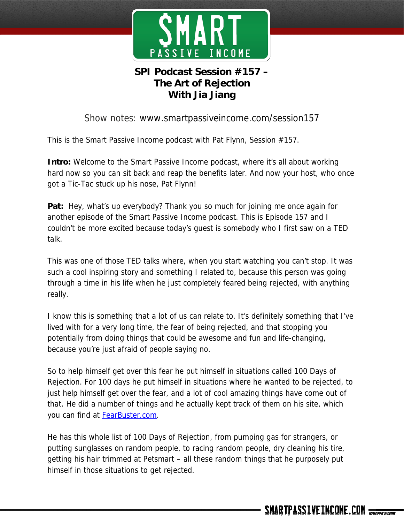

# **SPI Podcast Session #157 – The Art of Rejection With Jia Jiang**

### Show notes: www.smartpassiveincome.com/session157

This is the Smart Passive Income podcast with Pat Flynn, Session #157.

**Intro:** Welcome to the Smart Passive Income podcast, where it's all about working hard now so you can sit back and reap the benefits later. And now your host, who once got a Tic-Tac stuck up his nose, Pat Flynn!

**Pat:** Hey, what's up everybody? Thank you so much for joining me once again for another episode of the Smart Passive Income podcast. This is Episode 157 and I couldn't be more excited because today's guest is somebody who I first saw on a TED talk.

This was one of those TED talks where, when you start watching you can't stop. It was such a cool inspiring story and something I related to, because this person was going through a time in his life when he just completely feared being rejected, with anything really.

I know this is something that a lot of us can relate to. It's definitely something that I've lived with for a very long time, the fear of being rejected, and that stopping you potentially from doing things that could be awesome and fun and life-changing, because you're just afraid of people saying no.

So to help himself get over this fear he put himself in situations called 100 Days of Rejection. For 100 days he put himself in situations where he wanted to be rejected, to just help himself get over the fear, and a lot of cool amazing things have come out of that. He did a number of things and he actually kept track of them on his site, which you can find at **FearBuster.com**.

He has this whole list of 100 Days of Rejection, from pumping gas for strangers, or putting sunglasses on random people, to racing random people, dry cleaning his tire, getting his hair trimmed at Petsmart – all these random things that he purposely put himself in those situations to get rejected.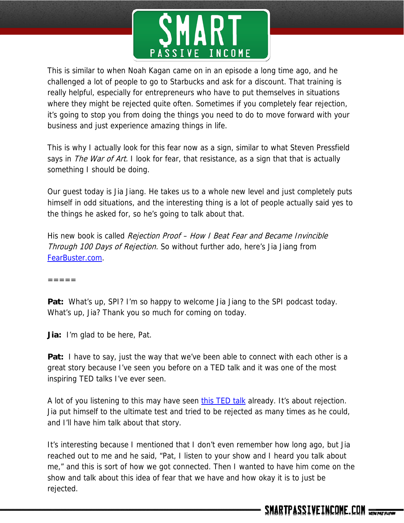

This is similar to when Noah Kagan came on in an episode a long time ago, and he challenged a lot of people to go to Starbucks and ask for a discount. That training is really helpful, especially for entrepreneurs who have to put themselves in situations where they might be rejected quite often. Sometimes if you completely fear rejection, it's going to stop you from doing the things you need to do to move forward with your business and just experience amazing things in life.

This is why I actually look for this fear now as a sign, similar to what Steven Pressfield says in *The War of Art.* I look for fear, that resistance, as a sign that that is actually something I should be doing.

Our guest today is Jia Jiang. He takes us to a whole new level and just completely puts himself in odd situations, and the interesting thing is a lot of people actually said yes to the things he asked for, so he's going to talk about that.

His new book is called Rejection Proof - How I Beat Fear and Became Invincible Through 100 Days of Rejection. So without further ado, here's Jia Jiang from FearBuster.com.

=====

**Pat:** What's up, SPI? I'm so happy to welcome Jia Jiang to the SPI podcast today. What's up, Jia? Thank you so much for coming on today.

**Jia:** I'm glad to be here, Pat.

**Pat:** I have to say, just the way that we've been able to connect with each other is a great story because I've seen you before on a TED talk and it was one of the most inspiring TED talks I've ever seen.

A lot of you listening to this may have seen this TED talk already. It's about rejection. Jia put himself to the ultimate test and tried to be rejected as many times as he could, and I'll have him talk about that story.

It's interesting because I mentioned that I don't even remember how long ago, but Jia reached out to me and he said, "Pat, I listen to your show and I heard you talk about me," and this is sort of how we got connected. Then I wanted to have him come on the show and talk about this idea of fear that we have and how okay it is to just be rejected.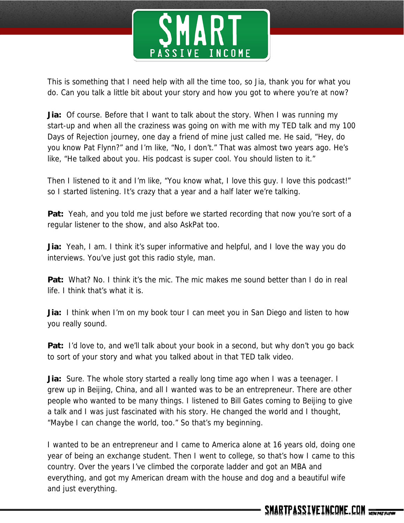

This is something that I need help with all the time too, so Jia, thank you for what you do. Can you talk a little bit about your story and how you got to where you're at now?

**Jia:** Of course. Before that I want to talk about the story. When I was running my start-up and when all the craziness was going on with me with my TED talk and my 100 Days of Rejection journey, one day a friend of mine just called me. He said, "Hey, do you know Pat Flynn?" and I'm like, "No, I don't." That was almost two years ago. He's like, "He talked about you. His podcast is super cool. You should listen to it."

Then I listened to it and I'm like, "You know what, I love this guy. I love this podcast!" so I started listening. It's crazy that a year and a half later we're talking.

**Pat:** Yeah, and you told me just before we started recording that now you're sort of a regular listener to the show, and also AskPat too.

**Jia:** Yeah, I am. I think it's super informative and helpful, and I love the way you do interviews. You've just got this radio style, man.

**Pat:** What? No. I think it's the mic. The mic makes me sound better than I do in real life. I think that's what it is.

**Jia:** I think when I'm on my book tour I can meet you in San Diego and listen to how you really sound.

**Pat:** I'd love to, and we'll talk about your book in a second, but why don't you go back to sort of your story and what you talked about in that TED talk video.

**Jia:** Sure. The whole story started a really long time ago when I was a teenager. I grew up in Beijing, China, and all I wanted was to be an entrepreneur. There are other people who wanted to be many things. I listened to Bill Gates coming to Beijing to give a talk and I was just fascinated with his story. He changed the world and I thought, "Maybe I can change the world, too." So that's my beginning.

I wanted to be an entrepreneur and I came to America alone at 16 years old, doing one year of being an exchange student. Then I went to college, so that's how I came to this country. Over the years I've climbed the corporate ladder and got an MBA and everything, and got my American dream with the house and dog and a beautiful wife and just everything.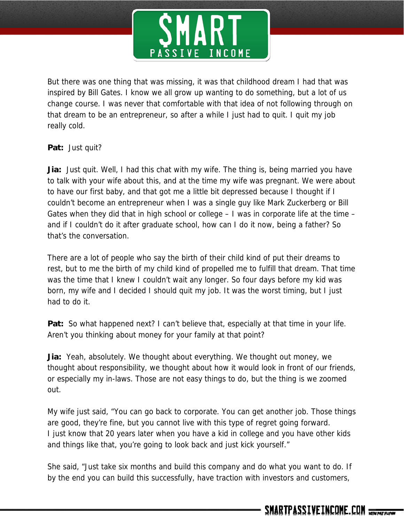

But there was one thing that was missing, it was that childhood dream I had that was inspired by Bill Gates. I know we all grow up wanting to do something, but a lot of us change course. I was never that comfortable with that idea of not following through on that dream to be an entrepreneur, so after a while I just had to quit. I quit my job really cold.

**Pat:** Just quit?

**Jia:** Just quit. Well, I had this chat with my wife. The thing is, being married you have to talk with your wife about this, and at the time my wife was pregnant. We were about to have our first baby, and that got me a little bit depressed because I thought if I couldn't become an entrepreneur when I was a single guy like Mark Zuckerberg or Bill Gates when they did that in high school or college – I was in corporate life at the time – and if I couldn't do it after graduate school, how can I do it now, being a father? So that's the conversation.

There are a lot of people who say the birth of their child kind of put their dreams to rest, but to me the birth of my child kind of propelled me to fulfill that dream. That time was the time that I knew I couldn't wait any longer. So four days before my kid was born, my wife and I decided I should quit my job. It was the worst timing, but I just had to do it.

**Pat:** So what happened next? I can't believe that, especially at that time in your life. Aren't you thinking about money for your family at that point?

**Jia:** Yeah, absolutely. We thought about everything. We thought out money, we thought about responsibility, we thought about how it would look in front of our friends, or especially my in-laws. Those are not easy things to do, but the thing is we zoomed out.

My wife just said, "You can go back to corporate. You can get another job. Those things are good, they're fine, but you cannot live with this type of regret going forward. I just know that 20 years later when you have a kid in college and you have other kids and things like that, you're going to look back and just kick yourself."

She said, "Just take six months and build this company and do what you want to do. If by the end you can build this successfully, have traction with investors and customers,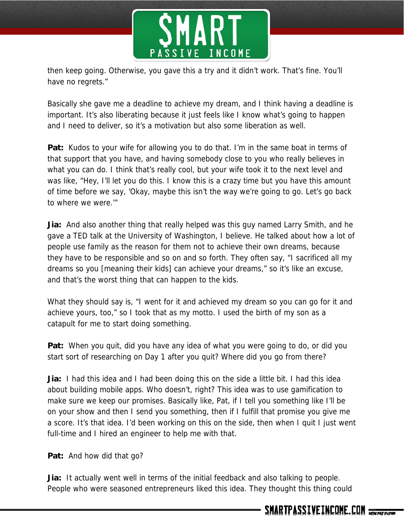

then keep going. Otherwise, you gave this a try and it didn't work. That's fine. You'll have no regrets."

Basically she gave me a deadline to achieve my dream, and I think having a deadline is important. It's also liberating because it just feels like I know what's going to happen and I need to deliver, so it's a motivation but also some liberation as well.

**Pat:** Kudos to your wife for allowing you to do that. I'm in the same boat in terms of that support that you have, and having somebody close to you who really believes in what you can do. I think that's really cool, but your wife took it to the next level and was like, "Hey, I'll let you do this. I know this is a crazy time but you have this amount of time before we say, 'Okay, maybe this isn't the way we're going to go. Let's go back to where we were.'"

**Jia:** And also another thing that really helped was this guy named Larry Smith, and he gave a TED talk at the University of Washington, I believe. He talked about how a lot of people use family as the reason for them not to achieve their own dreams, because they have to be responsible and so on and so forth. They often say, "I sacrificed all my dreams so you [meaning their kids] can achieve your dreams," so it's like an excuse, and that's the worst thing that can happen to the kids.

What they should say is, "I went for it and achieved my dream so you can go for it and achieve yours, too," so I took that as my motto. I used the birth of my son as a catapult for me to start doing something.

**Pat:** When you quit, did you have any idea of what you were going to do, or did you start sort of researching on Day 1 after you quit? Where did you go from there?

**Jia:** I had this idea and I had been doing this on the side a little bit. I had this idea about building mobile apps. Who doesn't, right? This idea was to use gamification to make sure we keep our promises. Basically like, Pat, if I tell you something like I'll be on your show and then I send you something, then if I fulfill that promise you give me a score. It's that idea. I'd been working on this on the side, then when I quit I just went full-time and I hired an engineer to help me with that.

**Pat:** And how did that go?

**Jia:** It actually went well in terms of the initial feedback and also talking to people. People who were seasoned entrepreneurs liked this idea. They thought this thing could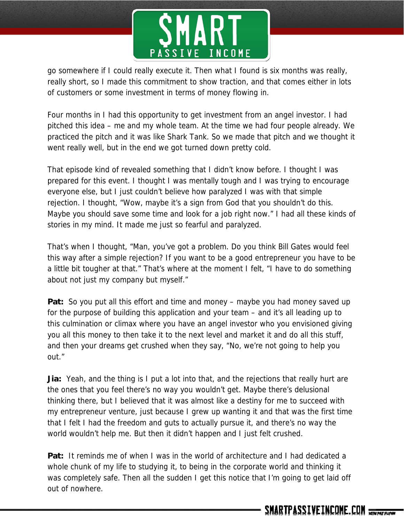

go somewhere if I could really execute it. Then what I found is six months was really, really short, so I made this commitment to show traction, and that comes either in lots of customers or some investment in terms of money flowing in.

Four months in I had this opportunity to get investment from an angel investor. I had pitched this idea – me and my whole team. At the time we had four people already. We practiced the pitch and it was like Shark Tank. So we made that pitch and we thought it went really well, but in the end we got turned down pretty cold.

That episode kind of revealed something that I didn't know before. I thought I was prepared for this event. I thought I was mentally tough and I was trying to encourage everyone else, but I just couldn't believe how paralyzed I was with that simple rejection. I thought, "Wow, maybe it's a sign from God that you shouldn't do this. Maybe you should save some time and look for a job right now." I had all these kinds of stories in my mind. It made me just so fearful and paralyzed.

That's when I thought, "Man, you've got a problem. Do you think Bill Gates would feel this way after a simple rejection? If you want to be a good entrepreneur you have to be a little bit tougher at that." That's where at the moment I felt, "I have to do something about not just my company but myself."

**Pat:** So you put all this effort and time and money – maybe you had money saved up for the purpose of building this application and your team – and it's all leading up to this culmination or climax where you have an angel investor who you envisioned giving you all this money to then take it to the next level and market it and do all this stuff, and then your dreams get crushed when they say, "No, we're not going to help you out."

**Jia:** Yeah, and the thing is I put a lot into that, and the rejections that really hurt are the ones that you feel there's no way you wouldn't get. Maybe there's delusional thinking there, but I believed that it was almost like a destiny for me to succeed with my entrepreneur venture, just because I grew up wanting it and that was the first time that I felt I had the freedom and guts to actually pursue it, and there's no way the world wouldn't help me. But then it didn't happen and I just felt crushed.

**Pat:** It reminds me of when I was in the world of architecture and I had dedicated a whole chunk of my life to studying it, to being in the corporate world and thinking it was completely safe. Then all the sudden I get this notice that I'm going to get laid off out of nowhere.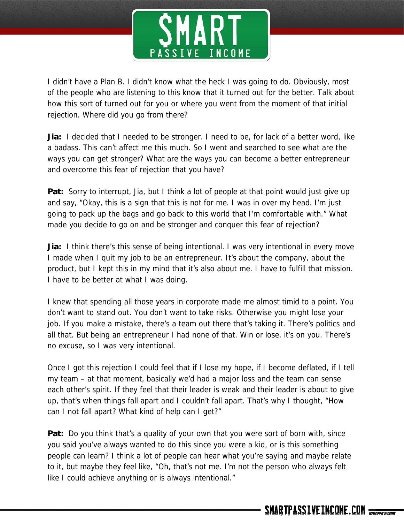

I didn't have a Plan B. I didn't know what the heck I was going to do. Obviously, most of the people who are listening to this know that it turned out for the better. Talk about how this sort of turned out for you or where you went from the moment of that initial rejection. Where did you go from there?

**Jia:** I decided that I needed to be stronger. I need to be, for lack of a better word, like a badass. This can't affect me this much. So I went and searched to see what are the ways you can get stronger? What are the ways you can become a better entrepreneur and overcome this fear of rejection that you have?

**Pat:** Sorry to interrupt, Jia, but I think a lot of people at that point would just give up and say, "Okay, this is a sign that this is not for me. I was in over my head. I'm just going to pack up the bags and go back to this world that I'm comfortable with." What made you decide to go on and be stronger and conquer this fear of rejection?

**Jia:** I think there's this sense of being intentional. I was very intentional in every move I made when I quit my job to be an entrepreneur. It's about the company, about the product, but I kept this in my mind that it's also about me. I have to fulfill that mission. I have to be better at what I was doing.

I knew that spending all those years in corporate made me almost timid to a point. You don't want to stand out. You don't want to take risks. Otherwise you might lose your job. If you make a mistake, there's a team out there that's taking it. There's politics and all that. But being an entrepreneur I had none of that. Win or lose, it's on you. There's no excuse, so I was very intentional.

Once I got this rejection I could feel that if I lose my hope, if I become deflated, if I tell my team – at that moment, basically we'd had a major loss and the team can sense each other's spirit. If they feel that their leader is weak and their leader is about to give up, that's when things fall apart and I couldn't fall apart. That's why I thought, "How can I not fall apart? What kind of help can I get?"

**Pat:** Do you think that's a quality of your own that you were sort of born with, since you said you've always wanted to do this since you were a kid, or is this something people can learn? I think a lot of people can hear what you're saying and maybe relate to it, but maybe they feel like, "Oh, that's not me. I'm not the person who always felt like I could achieve anything or is always intentional."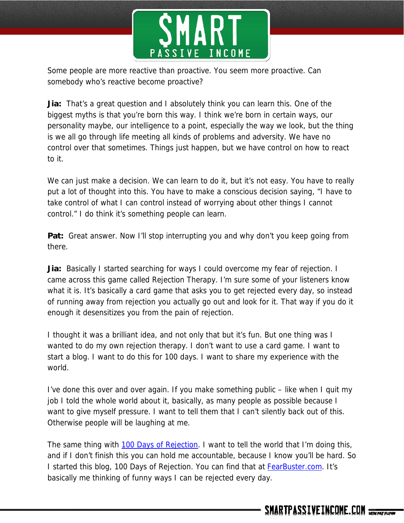

Some people are more reactive than proactive. You seem more proactive. Can somebody who's reactive become proactive?

**Jia:** That's a great question and I absolutely think you can learn this. One of the biggest myths is that you're born this way. I think we're born in certain ways, our personality maybe, our intelligence to a point, especially the way we look, but the thing is we all go through life meeting all kinds of problems and adversity. We have no control over that sometimes. Things just happen, but we have control on how to react to it.

We can just make a decision. We can learn to do it, but it's not easy. You have to really put a lot of thought into this. You have to make a conscious decision saying, "I have to take control of what I can control instead of worrying about other things I cannot control." I do think it's something people can learn.

**Pat:** Great answer. Now I'll stop interrupting you and why don't you keep going from there.

**Jia:** Basically I started searching for ways I could overcome my fear of rejection. I came across this game called Rejection Therapy. I'm sure some of your listeners know what it is. It's basically a card game that asks you to get rejected every day, so instead of running away from rejection you actually go out and look for it. That way if you do it enough it desensitizes you from the pain of rejection.

I thought it was a brilliant idea, and not only that but it's fun. But one thing was I wanted to do my own rejection therapy. I don't want to use a card game. I want to start a blog. I want to do this for 100 days. I want to share my experience with the world.

I've done this over and over again. If you make something public – like when I quit my job I told the whole world about it, basically, as many people as possible because I want to give myself pressure. I want to tell them that I can't silently back out of this. Otherwise people will be laughing at me.

The same thing with 100 Days of Rejection. I want to tell the world that I'm doing this, and if I don't finish this you can hold me accountable, because I know you'll be hard. So I started this blog, 100 Days of Rejection. You can find that at FearBuster.com. It's basically me thinking of funny ways I can be rejected every day.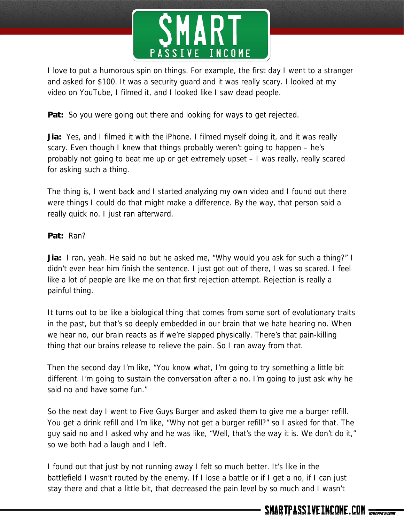

I love to put a humorous spin on things. For example, the first day I went to a stranger and asked for \$100. It was a security guard and it was really scary. I looked at my video on YouTube, I filmed it, and I looked like I saw dead people.

Pat: So you were going out there and looking for ways to get rejected.

**Jia:** Yes, and I filmed it with the iPhone. I filmed myself doing it, and it was really scary. Even though I knew that things probably weren't going to happen – he's probably not going to beat me up or get extremely upset – I was really, really scared for asking such a thing.

The thing is, I went back and I started analyzing my own video and I found out there were things I could do that might make a difference. By the way, that person said a really quick no. I just ran afterward.

### **Pat:** Ran?

**Jia:** I ran, yeah. He said no but he asked me, "Why would you ask for such a thing?" I didn't even hear him finish the sentence. I just got out of there, I was so scared. I feel like a lot of people are like me on that first rejection attempt. Rejection is really a painful thing.

It turns out to be like a biological thing that comes from some sort of evolutionary traits in the past, but that's so deeply embedded in our brain that we hate hearing no. When we hear no, our brain reacts as if we're slapped physically. There's that pain-killing thing that our brains release to relieve the pain. So I ran away from that.

Then the second day I'm like, "You know what, I'm going to try something a little bit different. I'm going to sustain the conversation after a no. I'm going to just ask why he said no and have some fun."

So the next day I went to Five Guys Burger and asked them to give me a burger refill. You get a drink refill and I'm like, "Why not get a burger refill?" so I asked for that. The guy said no and I asked why and he was like, "Well, that's the way it is. We don't do it," so we both had a laugh and I left.

I found out that just by not running away I felt so much better. It's like in the battlefield I wasn't routed by the enemy. If I lose a battle or if I get a no, if I can just stay there and chat a little bit, that decreased the pain level by so much and I wasn't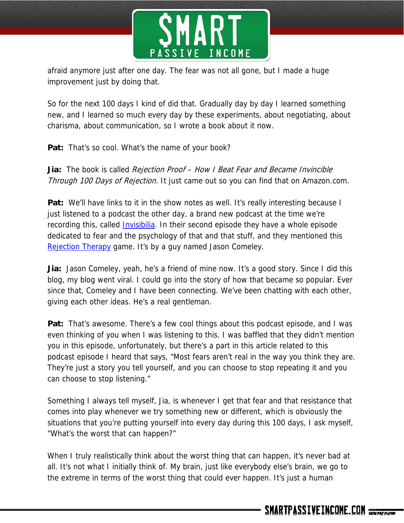

afraid anymore just after one day. The fear was not all gone, but I made a huge improvement just by doing that.

So for the next 100 days I kind of did that. Gradually day by day I learned something new, and I learned so much every day by these experiments, about negotiating, about charisma, about communication, so I wrote a book about it now.

**Pat:** That's so cool. What's the name of your book?

**Jia:** The book is called Rejection Proof – How I Beat Fear and Became Invincible Through 100 Days of Rejection. It just came out so you can find that on Amazon.com.

**Pat:** We'll have links to it in the show notes as well. It's really interesting because I just listened to a podcast the other day, a brand new podcast at the time we're recording this, called *Invisibilia*. In their second episode they have a whole episode dedicated to fear and the psychology of that and that stuff, and they mentioned this Rejection Therapy game. It's by a guy named Jason Comeley.

**Jia:** Jason Comeley, yeah, he's a friend of mine now. It's a good story. Since I did this blog, my blog went viral. I could go into the story of how that became so popular. Ever since that, Comeley and I have been connecting. We've been chatting with each other, giving each other ideas. He's a real gentleman.

**Pat:** That's awesome. There's a few cool things about this podcast episode, and I was even thinking of you when I was listening to this. I was baffled that they didn't mention you in this episode, unfortunately, but there's a part in this article related to this podcast episode I heard that says, "Most fears aren't real in the way you think they are. They're just a story you tell yourself, and you can choose to stop repeating it and you can choose to stop listening."

Something I always tell myself, Jia, is whenever I get that fear and that resistance that comes into play whenever we try something new or different, which is obviously the situations that you're putting yourself into every day during this 100 days, I ask myself, "What's the worst that can happen?"

When I truly realistically think about the worst thing that can happen, it's never bad at all. It's not what I initially think of. My brain, just like everybody else's brain, we go to the extreme in terms of the worst thing that could ever happen. It's just a human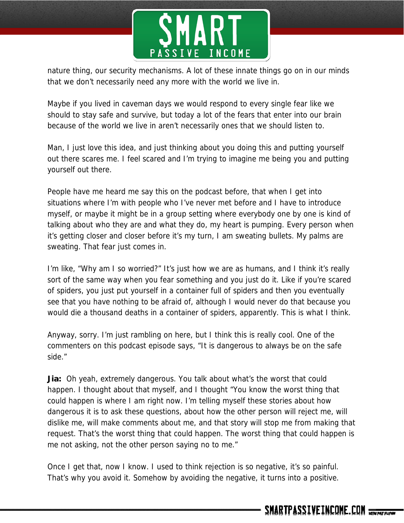

nature thing, our security mechanisms. A lot of these innate things go on in our minds that we don't necessarily need any more with the world we live in.

Maybe if you lived in caveman days we would respond to every single fear like we should to stay safe and survive, but today a lot of the fears that enter into our brain because of the world we live in aren't necessarily ones that we should listen to.

Man, I just love this idea, and just thinking about you doing this and putting yourself out there scares me. I feel scared and I'm trying to imagine me being you and putting yourself out there.

People have me heard me say this on the podcast before, that when I get into situations where I'm with people who I've never met before and I have to introduce myself, or maybe it might be in a group setting where everybody one by one is kind of talking about who they are and what they do, my heart is pumping. Every person when it's getting closer and closer before it's my turn, I am sweating bullets. My palms are sweating. That fear just comes in.

I'm like, "Why am I so worried?" It's just how we are as humans, and I think it's really sort of the same way when you fear something and you just do it. Like if you're scared of spiders, you just put yourself in a container full of spiders and then you eventually see that you have nothing to be afraid of, although I would never do that because you would die a thousand deaths in a container of spiders, apparently. This is what I think.

Anyway, sorry. I'm just rambling on here, but I think this is really cool. One of the commenters on this podcast episode says, "It is dangerous to always be on the safe side."

**Jia:** Oh yeah, extremely dangerous. You talk about what's the worst that could happen. I thought about that myself, and I thought "You know the worst thing that could happen is where I am right now. I'm telling myself these stories about how dangerous it is to ask these questions, about how the other person will reject me, will dislike me, will make comments about me, and that story will stop me from making that request. That's the worst thing that could happen. The worst thing that could happen is me not asking, not the other person saying no to me."

Once I get that, now I know. I used to think rejection is so negative, it's so painful. That's why you avoid it. Somehow by avoiding the negative, it turns into a positive.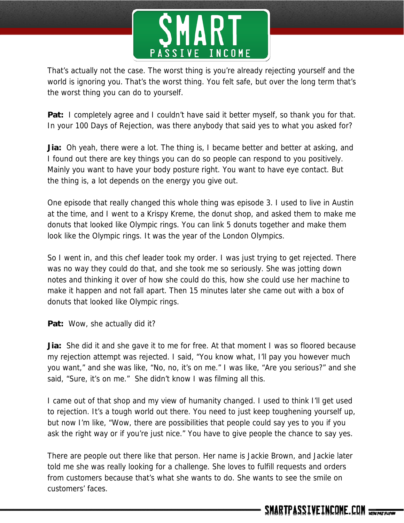

That's actually not the case. The worst thing is you're already rejecting yourself and the world is ignoring you. That's the worst thing. You felt safe, but over the long term that's the worst thing you can do to yourself.

**Pat:** I completely agree and I couldn't have said it better myself, so thank you for that. In your 100 Days of Rejection, was there anybody that said yes to what you asked for?

**Jia:** Oh yeah, there were a lot. The thing is, I became better and better at asking, and I found out there are key things you can do so people can respond to you positively. Mainly you want to have your body posture right. You want to have eye contact. But the thing is, a lot depends on the energy you give out.

One episode that really changed this whole thing was episode 3. I used to live in Austin at the time, and I went to a Krispy Kreme, the donut shop, and asked them to make me donuts that looked like Olympic rings. You can link 5 donuts together and make them look like the Olympic rings. It was the year of the London Olympics.

So I went in, and this chef leader took my order. I was just trying to get rejected. There was no way they could do that, and she took me so seriously. She was jotting down notes and thinking it over of how she could do this, how she could use her machine to make it happen and not fall apart. Then 15 minutes later she came out with a box of donuts that looked like Olympic rings.

**Pat:** Wow, she actually did it?

**Jia:** She did it and she gave it to me for free. At that moment I was so floored because my rejection attempt was rejected. I said, "You know what, I'll pay you however much you want," and she was like, "No, no, it's on me." I was like, "Are you serious?" and she said, "Sure, it's on me." She didn't know I was filming all this.

I came out of that shop and my view of humanity changed. I used to think I'll get used to rejection. It's a tough world out there. You need to just keep toughening yourself up, but now I'm like, "Wow, there are possibilities that people could say yes to you if you ask the right way or if you're just nice." You have to give people the chance to say yes.

There are people out there like that person. Her name is Jackie Brown, and Jackie later told me she was really looking for a challenge. She loves to fulfill requests and orders from customers because that's what she wants to do. She wants to see the smile on customers' faces.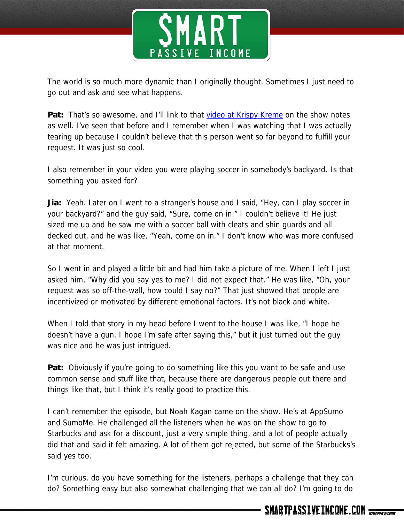

The world is so much more dynamic than I originally thought. Sometimes I just need to go out and ask and see what happens.

**Pat:** That's so awesome, and I'll link to that video at Krispy Kreme on the show notes as well. I've seen that before and I remember when I was watching that I was actually tearing up because I couldn't believe that this person went so far beyond to fulfill your request. It was just so cool.

I also remember in your video you were playing soccer in somebody's backyard. Is that something you asked for?

**Jia:** Yeah. Later on I went to a stranger's house and I said, "Hey, can I play soccer in your backyard?" and the guy said, "Sure, come on in." I couldn't believe it! He just sized me up and he saw me with a soccer ball with cleats and shin guards and all decked out, and he was like, "Yeah, come on in." I don't know who was more confused at that moment.

So I went in and played a little bit and had him take a picture of me. When I left I just asked him, "Why did you say yes to me? I did not expect that." He was like, "Oh, your request was so off-the-wall, how could I say no?" That just showed that people are incentivized or motivated by different emotional factors. It's not black and white.

When I told that story in my head before I went to the house I was like, "I hope he doesn't have a gun. I hope I'm safe after saying this," but it just turned out the guy was nice and he was just intrigued.

**Pat:** Obviously if you're going to do something like this you want to be safe and use common sense and stuff like that, because there are dangerous people out there and things like that, but I think it's really good to practice this.

I can't remember the episode, but Noah Kagan came on the show. He's at AppSumo and SumoMe. He challenged all the listeners when he was on the show to go to Starbucks and ask for a discount, just a very simple thing, and a lot of people actually did that and said it felt amazing. A lot of them got rejected, but some of the Starbucks's said yes too.

I'm curious, do you have something for the listeners, perhaps a challenge that they can do? Something easy but also somewhat challenging that we can all do? I'm going to do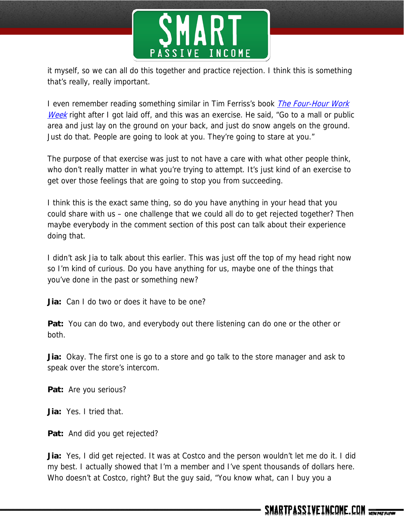

it myself, so we can all do this together and practice rejection. I think this is something that's really, really important.

I even remember reading something similar in Tim Ferriss's book *The Four-Hour Work* Week right after I got laid off, and this was an exercise. He said, "Go to a mall or public area and just lay on the ground on your back, and just do snow angels on the ground. Just do that. People are going to look at you. They're going to stare at you."

The purpose of that exercise was just to not have a care with what other people think, who don't really matter in what you're trying to attempt. It's just kind of an exercise to get over those feelings that are going to stop you from succeeding.

I think this is the exact same thing, so do you have anything in your head that you could share with us – one challenge that we could all do to get rejected together? Then maybe everybody in the comment section of this post can talk about their experience doing that.

I didn't ask Jia to talk about this earlier. This was just off the top of my head right now so I'm kind of curious. Do you have anything for us, maybe one of the things that you've done in the past or something new?

**Jia:** Can I do two or does it have to be one?

**Pat:** You can do two, and everybody out there listening can do one or the other or both.

**Jia:** Okay. The first one is go to a store and go talk to the store manager and ask to speak over the store's intercom.

**Pat:** Are you serious?

**Jia:** Yes. I tried that.

**Pat:** And did you get rejected?

**Jia:** Yes, I did get rejected. It was at Costco and the person wouldn't let me do it. I did my best. I actually showed that I'm a member and I've spent thousands of dollars here. Who doesn't at Costco, right? But the guy said, "You know what, can I buy you a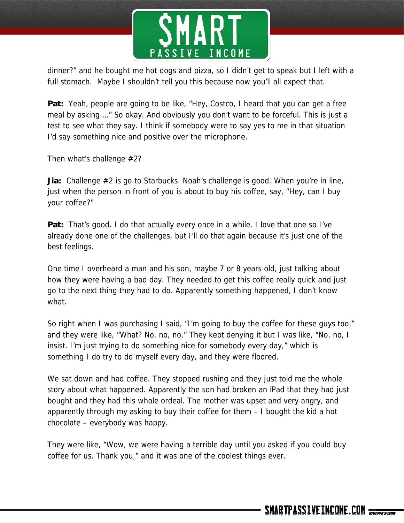

dinner?" and he bought me hot dogs and pizza, so I didn't get to speak but I left with a full stomach. Maybe I shouldn't tell you this because now you'll all expect that.

Pat: Yeah, people are going to be like, "Hey, Costco, I heard that you can get a free meal by asking…." So okay. And obviously you don't want to be forceful. This is just a test to see what they say. I think if somebody were to say yes to me in that situation I'd say something nice and positive over the microphone.

Then what's challenge #2?

**Jia:** Challenge #2 is go to Starbucks. Noah's challenge is good. When you're in line, just when the person in front of you is about to buy his coffee, say, "Hey, can I buy your coffee?"

**Pat:** That's good. I do that actually every once in a while. I love that one so I've already done one of the challenges, but I'll do that again because it's just one of the best feelings.

One time I overheard a man and his son, maybe 7 or 8 years old, just talking about how they were having a bad day. They needed to get this coffee really quick and just go to the next thing they had to do. Apparently something happened, I don't know what.

So right when I was purchasing I said, "I'm going to buy the coffee for these guys too," and they were like, "What? No, no, no." They kept denying it but I was like, "No, no, I insist. I'm just trying to do something nice for somebody every day," which is something I do try to do myself every day, and they were floored.

We sat down and had coffee. They stopped rushing and they just told me the whole story about what happened. Apparently the son had broken an iPad that they had just bought and they had this whole ordeal. The mother was upset and very angry, and apparently through my asking to buy their coffee for them – I bought the kid a hot chocolate – everybody was happy.

They were like, "Wow, we were having a terrible day until you asked if you could buy coffee for us. Thank you," and it was one of the coolest things ever.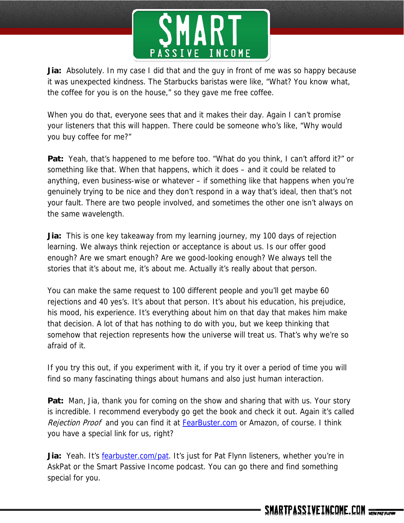

**Jia:** Absolutely. In my case I did that and the guy in front of me was so happy because it was unexpected kindness. The Starbucks baristas were like, "What? You know what, the coffee for you is on the house," so they gave me free coffee.

When you do that, everyone sees that and it makes their day. Again I can't promise your listeners that this will happen. There could be someone who's like, "Why would you buy coffee for me?"

**Pat:** Yeah, that's happened to me before too. "What do you think, I can't afford it?" or something like that. When that happens, which it does – and it could be related to anything, even business-wise or whatever – if something like that happens when you're genuinely trying to be nice and they don't respond in a way that's ideal, then that's not your fault. There are two people involved, and sometimes the other one isn't always on the same wavelength.

**Jia:** This is one key takeaway from my learning journey, my 100 days of rejection learning. We always think rejection or acceptance is about us. Is our offer good enough? Are we smart enough? Are we good-looking enough? We always tell the stories that it's about me, it's about me. Actually it's really about that person.

You can make the same request to 100 different people and you'll get maybe 60 rejections and 40 yes's. It's about that person. It's about his education, his prejudice, his mood, his experience. It's everything about him on that day that makes him make that decision. A lot of that has nothing to do with you, but we keep thinking that somehow that rejection represents how the universe will treat us. That's why we're so afraid of it.

If you try this out, if you experiment with it, if you try it over a period of time you will find so many fascinating things about humans and also just human interaction.

**Pat:** Man, Jia, thank you for coming on the show and sharing that with us. Your story is incredible. I recommend everybody go get the book and check it out. Again it's called Rejection Proof and you can find it at FearBuster.com or Amazon, of course. I think you have a special link for us, right?

Jia: Yeah. It's fearbuster.com/pat. It's just for Pat Flynn listeners, whether you're in AskPat or the Smart Passive Income podcast. You can go there and find something special for you.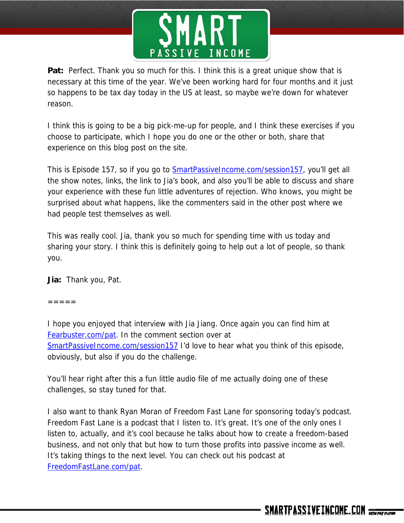

Pat: Perfect. Thank you so much for this. I think this is a great unique show that is necessary at this time of the year. We've been working hard for four months and it just so happens to be tax day today in the US at least, so maybe we're down for whatever reason.

I think this is going to be a big pick-me-up for people, and I think these exercises if you choose to participate, which I hope you do one or the other or both, share that experience on this blog post on the site.

This is Episode 157, so if you go to **SmartPassiveIncome.com/session157**, you'll get all the show notes, links, the link to Jia's book, and also you'll be able to discuss and share your experience with these fun little adventures of rejection. Who knows, you might be surprised about what happens, like the commenters said in the other post where we had people test themselves as well.

This was really cool. Jia, thank you so much for spending time with us today and sharing your story. I think this is definitely going to help out a lot of people, so thank you.

**Jia:** Thank you, Pat.

 $=$   $=$   $=$   $=$ 

I hope you enjoyed that interview with Jia Jiang. Once again you can find him at Fearbuster.com/pat. In the comment section over at SmartPassiveIncome.com/session157 I'd love to hear what you think of this episode, obviously, but also if you do the challenge.

You'll hear right after this a fun little audio file of me actually doing one of these challenges, so stay tuned for that.

I also want to thank Ryan Moran of Freedom Fast Lane for sponsoring today's podcast. Freedom Fast Lane is a podcast that I listen to. It's great. It's one of the only ones I listen to, actually, and it's cool because he talks about how to create a freedom-based business, and not only that but how to turn those profits into passive income as well. It's taking things to the next level. You can check out his podcast at FreedomFastLane.com/pat.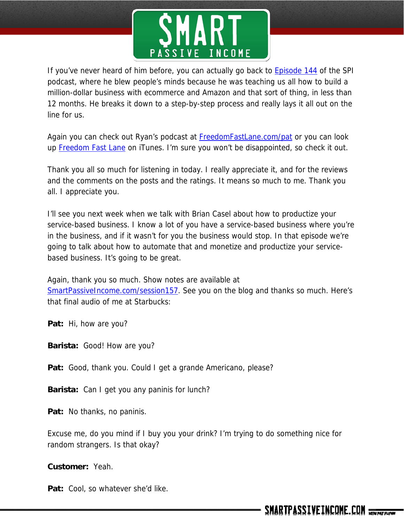

If you've never heard of him before, you can actually go back to **Episode 144** of the SPI podcast, where he blew people's minds because he was teaching us all how to build a million-dollar business with ecommerce and Amazon and that sort of thing, in less than 12 months. He breaks it down to a step-by-step process and really lays it all out on the line for us.

Again you can check out Ryan's podcast at FreedomFastLane.com/pat or you can look up Freedom Fast Lane on iTunes. I'm sure you won't be disappointed, so check it out.

Thank you all so much for listening in today. I really appreciate it, and for the reviews and the comments on the posts and the ratings. It means so much to me. Thank you all. I appreciate you.

I'll see you next week when we talk with Brian Casel about how to productize your service-based business. I know a lot of you have a service-based business where you're in the business, and if it wasn't for you the business would stop. In that episode we're going to talk about how to automate that and monetize and productize your servicebased business. It's going to be great.

Again, thank you so much. Show notes are available at SmartPassiveIncome.com/session157. See you on the blog and thanks so much. Here's that final audio of me at Starbucks:

**Pat:** Hi, how are you?

**Barista:** Good! How are you?

**Pat:** Good, thank you. Could I get a grande Americano, please?

**Barista:** Can I get you any paninis for lunch?

**Pat:** No thanks, no paninis.

Excuse me, do you mind if I buy you your drink? I'm trying to do something nice for random strangers. Is that okay?

**Customer:** Yeah.

Pat: Cool, so whatever she'd like.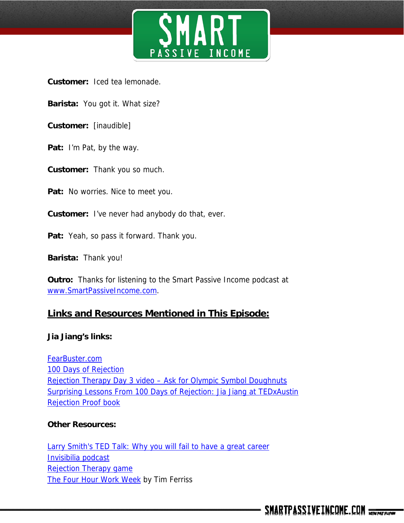

**Customer:** Iced tea lemonade.

- **Barista:** You got it. What size?
- **Customer:** [inaudible]
- **Pat:** I'm Pat, by the way.
- **Customer:** Thank you so much.
- Pat: No worries. Nice to meet you.
- **Customer:** I've never had anybody do that, ever.
- **Pat:** Yeah, so pass it forward. Thank you.
- **Barista:** Thank you!

**Outro:** Thanks for listening to the Smart Passive Income podcast at www.SmartPassiveIncome.com.

## **Links and Resources Mentioned in This Episode:**

#### **Jia Jiang's links:**

FearBuster.com 100 Days of Rejection Rejection Therapy Day 3 video – Ask for Olympic Symbol Doughnuts Surprising Lessons From 100 Days of Rejection: Jia Jiang at TEDxAustin Rejection Proof book

#### **Other Resources:**

Larry Smith's TED Talk: Why you will fail to have a great career Invisibilia podcast Rejection Therapy game The Four Hour Work Week by Tim Ferriss